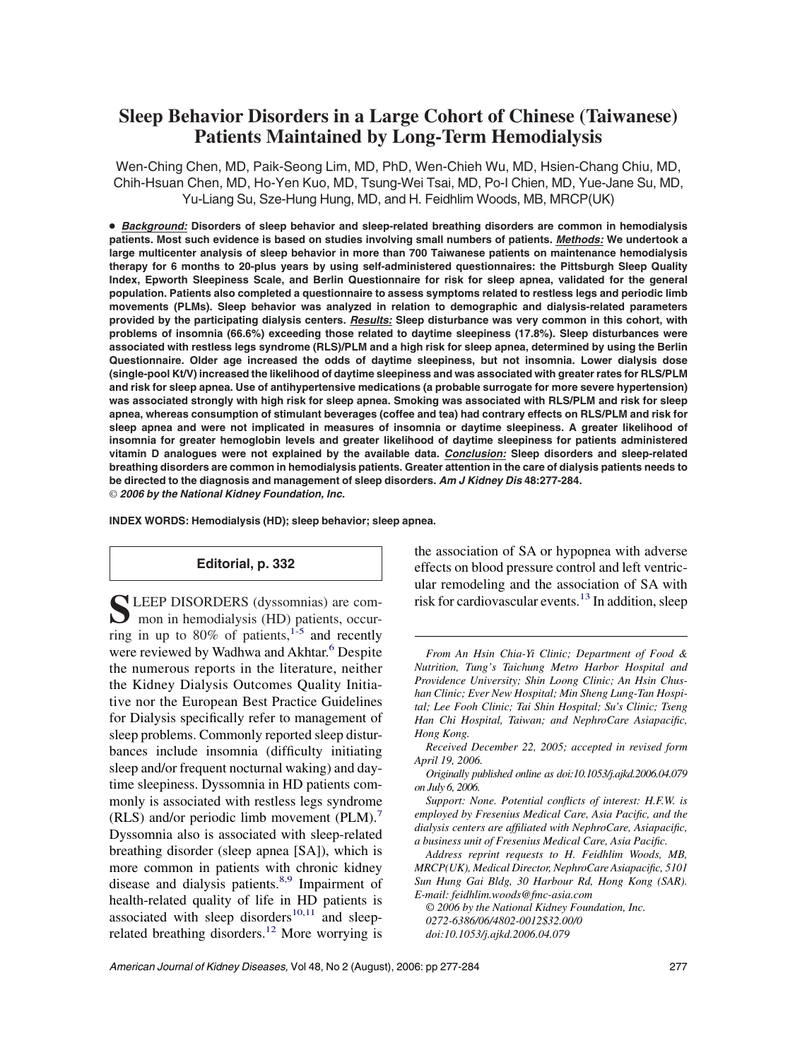# **Sleep Behavior Disorders in a Large Cohort of Chinese (Taiwanese) Patients Maintained by Long-Term Hemodialysis**

Wen-Ching Chen, MD, Paik-Seong Lim, MD, PhD, Wen-Chieh Wu, MD, Hsien-Chang Chiu, MD, Chih-Hsuan Chen, MD, Ho-Yen Kuo, MD, Tsung-Wei Tsai, MD, Po-I Chien, MD, Yue-Jane Su, MD, Yu-Liang Su, Sze-Hung Hung, MD, and H. Feidhlim Woods, MB, MRCP(UK)

● *Background:* **Disorders of sleep behavior and sleep-related breathing disorders are common in hemodialysis patients. Most such evidence is based on studies involving small numbers of patients.** *Methods:* **We undertook a large multicenter analysis of sleep behavior in more than 700 Taiwanese patients on maintenance hemodialysis therapy for 6 months to 20-plus years by using self-administered questionnaires: the Pittsburgh Sleep Quality Index, Epworth Sleepiness Scale, and Berlin Questionnaire for risk for sleep apnea, validated for the general population. Patients also completed a questionnaire to assess symptoms related to restless legs and periodic limb movements (PLMs). Sleep behavior was analyzed in relation to demographic and dialysis-related parameters provided by the participating dialysis centers.** *Results:* **Sleep disturbance was very common in this cohort, with problems of insomnia (66.6%) exceeding those related to daytime sleepiness (17.8%). Sleep disturbances were associated with restless legs syndrome (RLS)/PLM and a high risk for sleep apnea, determined by using the Berlin Questionnaire. Older age increased the odds of daytime sleepiness, but not insomnia. Lower dialysis dose (single-pool Kt/V) increased the likelihood of daytime sleepiness and was associated with greater rates for RLS/PLM and risk for sleep apnea. Use of antihypertensive medications (a probable surrogate for more severe hypertension) was associated strongly with high risk for sleep apnea. Smoking was associated with RLS/PLM and risk for sleep apnea, whereas consumption of stimulant beverages (coffee and tea) had contrary effects on RLS/PLM and risk for sleep apnea and were not implicated in measures of insomnia or daytime sleepiness. A greater likelihood of insomnia for greater hemoglobin levels and greater likelihood of daytime sleepiness for patients administered vitamin D analogues were not explained by the available data.** *Conclusion:* **Sleep disorders and sleep-related breathing disorders are common in hemodialysis patients. Greater attention in the care of dialysis patients needs to be directed to the diagnosis and management of sleep disorders.** *Am J Kidney Dis* **48:277-284.** © *2006 by the National Kidney Foundation, Inc.*

**INDEX WORDS: Hemodialysis (HD); sleep behavior; sleep apnea.**

## **Editorial, p. 332**

S LEEP DISORDERS (dyssomnias) are com-<br>mon in hemodialysis (HD) patients, occurring in up to 80% of patients, $1.5$  and recently were reviewed by Wadhwa and Akhtar.<sup>6</sup> Despite the numerous reports in the literature, neither the Kidney Dialysis Outcomes Quality Initiative nor the European Best Practice Guidelines for Dialysis specifically refer to management of sleep problems. Commonly reported sleep disturbances include insomnia (difficulty initiating sleep and/or frequent nocturnal waking) and daytime sleepiness. Dyssomnia in HD patients commonly is associated with restless legs syndrome (RLS) and/or periodic limb movement (PLM).<sup>7</sup> Dyssomnia also is associated with sleep-related breathing disorder (sleep apnea [SA]), which is more common in patients with chronic kidney disease and dialysis patients.<sup>8,9</sup> Impairment of health-related quality of life in HD patients is associated with sleep disorders $10,11$  and sleeprelated breathing disorders[.12](#page-7-0) More worrying is the association of SA or hypopnea with adverse effects on blood pressure control and left ventricular remodeling and the association of SA with risk for cardiovascular events.<sup>13</sup> In addition, sleep

*Support: None. Potential conflicts of interest: H.F.W. is employed by Fresenius Medical Care, Asia Pacific, and the dialysis centers are affiliated with NephroCare, Asiapacific, a business unit of Fresenius Medical Care, Asia Pacific.*

*Address reprint requests to H. Feidhlim Woods, MB, MRCP(UK), Medical Director, NephroCare Asiapacific, 5101 Sun Hung Gai Bldg, 30 Harbour Rd, Hong Kong (SAR). E-mail: feidhlim.woods@fmc-asia.com*

© *2006 by the National Kidney Foundation, Inc. 0272-6386/06/4802-0012\$32.00/0 doi:10.1053/j.ajkd.2006.04.079*

*From An Hsin Chia-Yi Clinic; Department of Food & Nutrition, Tung's Taichung Metro Harbor Hospital and Providence University; Shin Loong Clinic; An Hsin Chushan Clinic; Ever New Hospital; Min Sheng Lung-Tan Hospital; Lee Fooh Clinic; Tai Shin Hospital; Su's Clinic; Tseng Han Chi Hospital, Taiwan; and NephroCare Asiapacific, Hong Kong.*

*Received December 22, 2005; accepted in revised form April 19, 2006.*

*Originally published online as doi:10.1053/j.ajkd.2006.04.079 on July 6, 2006.*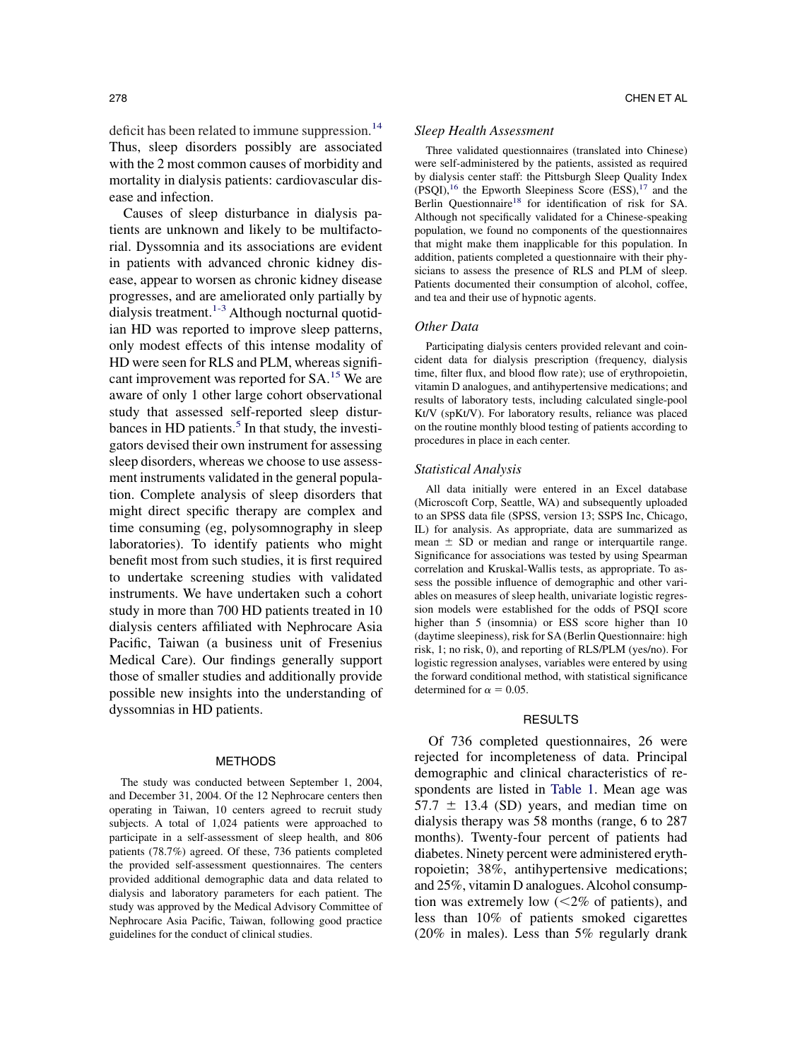deficit has been related to immune suppression.<sup>14</sup> Thus, sleep disorders possibly are associated with the 2 most common causes of morbidity and mortality in dialysis patients: cardiovascular disease and infection.

Causes of sleep disturbance in dialysis patients are unknown and likely to be multifactorial. Dyssomnia and its associations are evident in patients with advanced chronic kidney disease, appear to worsen as chronic kidney disease progresses, and are ameliorated only partially by dialysis treatment[.1-3](#page-7-0) Although nocturnal quotidian HD was reported to improve sleep patterns, only modest effects of this intense modality of HD were seen for RLS and PLM, whereas significant improvement was reported for SA[.15](#page-7-0) We are aware of only 1 other large cohort observational study that assessed self-reported sleep disturbances in HD patients. $<sup>5</sup>$  In that study, the investi-</sup> gators devised their own instrument for assessing sleep disorders, whereas we choose to use assessment instruments validated in the general population. Complete analysis of sleep disorders that might direct specific therapy are complex and time consuming (eg, polysomnography in sleep laboratories). To identify patients who might benefit most from such studies, it is first required to undertake screening studies with validated instruments. We have undertaken such a cohort study in more than 700 HD patients treated in 10 dialysis centers affiliated with Nephrocare Asia Pacific, Taiwan (a business unit of Fresenius Medical Care). Our findings generally support those of smaller studies and additionally provide possible new insights into the understanding of dyssomnias in HD patients.

#### METHODS

The study was conducted between September 1, 2004, and December 31, 2004. Of the 12 Nephrocare centers then operating in Taiwan, 10 centers agreed to recruit study subjects. A total of 1,024 patients were approached to participate in a self-assessment of sleep health, and 806 patients (78.7%) agreed. Of these, 736 patients completed the provided self-assessment questionnaires. The centers provided additional demographic data and data related to dialysis and laboratory parameters for each patient. The study was approved by the Medical Advisory Committee of Nephrocare Asia Pacific, Taiwan, following good practice guidelines for the conduct of clinical studies.

# *Sleep Health Assessment*

Three validated questionnaires (translated into Chinese) were self-administered by the patients, assisted as required by dialysis center staff: the Pittsburgh Sleep Quality Index  $(PSQI),<sup>16</sup>$  the Epworth Sleepiness Score  $(ESS),<sup>17</sup>$  and the Berlin Questionnaire<sup>18</sup> for identification of risk for SA. Although not specifically validated for a Chinese-speaking population, we found no components of the questionnaires that might make them inapplicable for this population. In addition, patients completed a questionnaire with their physicians to assess the presence of RLS and PLM of sleep. Patients documented their consumption of alcohol, coffee, and tea and their use of hypnotic agents.

## *Other Data*

Participating dialysis centers provided relevant and coincident data for dialysis prescription (frequency, dialysis time, filter flux, and blood flow rate); use of erythropoietin, vitamin D analogues, and antihypertensive medications; and results of laboratory tests, including calculated single-pool Kt/V (spKt/V). For laboratory results, reliance was placed on the routine monthly blood testing of patients according to procedures in place in each center.

#### *Statistical Analysis*

All data initially were entered in an Excel database (Microscoft Corp, Seattle, WA) and subsequently uploaded to an SPSS data file (SPSS, version 13; SSPS Inc, Chicago, IL) for analysis. As appropriate, data are summarized as mean  $\pm$  SD or median and range or interquartile range. Significance for associations was tested by using Spearman correlation and Kruskal-Wallis tests, as appropriate. To assess the possible influence of demographic and other variables on measures of sleep health, univariate logistic regression models were established for the odds of PSQI score higher than 5 (insomnia) or ESS score higher than 10 (daytime sleepiness), risk for SA (Berlin Questionnaire: high risk, 1; no risk, 0), and reporting of RLS/PLM (yes/no). For logistic regression analyses, variables were entered by using the forward conditional method, with statistical significance determined for  $\alpha = 0.05$ .

#### RESULTS

Of 736 completed questionnaires, 26 were rejected for incompleteness of data. Principal demographic and clinical characteristics of respondents are listed in [Table 1.](#page-2-0) Mean age was  $57.7 \pm 13.4$  (SD) years, and median time on dialysis therapy was 58 months (range, 6 to 287 months). Twenty-four percent of patients had diabetes. Ninety percent were administered erythropoietin; 38%, antihypertensive medications; and 25%, vitamin D analogues. Alcohol consumption was extremely low  $\left( \langle 2\% \rangle \right)$  of patients), and less than 10% of patients smoked cigarettes (20% in males). Less than 5% regularly drank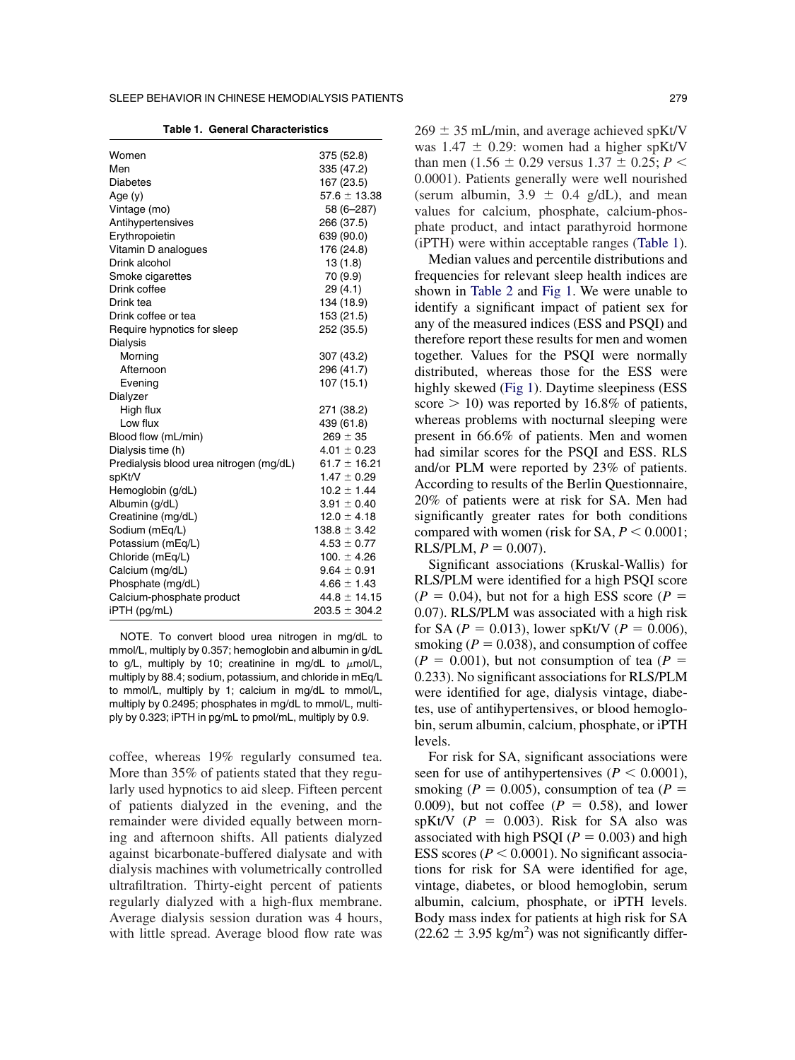**Table 1. General Characteristics**

<span id="page-2-0"></span>

| Women                                   | 375 (52.8)        |
|-----------------------------------------|-------------------|
| Men                                     | 335 (47.2)        |
| Diabetes                                | 167 (23.5)        |
| Age $(y)$                               | $57.6 \pm 13.38$  |
| Vintage (mo)                            | 58 (6-287)        |
| Antihypertensives                       | 266 (37.5)        |
| Erythropoietin                          | 639 (90.0)        |
| Vitamin D analogues                     | 176 (24.8)        |
| Drink alcohol                           | 13(1.8)           |
| Smoke cigarettes                        | 70 (9.9)          |
| Drink coffee                            | 29(4.1)           |
| Drink tea                               | 134 (18.9)        |
| Drink coffee or tea                     | 153 (21.5)        |
| Require hypnotics for sleep             | 252 (35.5)        |
| Dialysis                                |                   |
| Morning                                 | 307 (43.2)        |
| Afternoon                               | 296 (41.7)        |
| Evening                                 | 107 (15.1)        |
| Dialyzer                                |                   |
| High flux                               | 271 (38.2)        |
| Low flux                                | 439 (61.8)        |
| Blood flow (mL/min)                     | $269 \pm 35$      |
| Dialysis time (h)                       | $4.01 \pm 0.23$   |
| Predialysis blood urea nitrogen (mg/dL) | $61.7 \pm 16.21$  |
| spKt/V                                  | $1.47 \pm 0.29$   |
| Hemoglobin (g/dL)                       | $10.2 \pm 1.44$   |
| Albumin (g/dL)                          | $3.91 \pm 0.40$   |
| Creatinine (mg/dL)                      | $12.0 \pm 4.18$   |
| Sodium (mEq/L)                          | $138.8 \pm 3.42$  |
| Potassium (mEq/L)                       | $4.53 \pm 0.77$   |
| Chloride (mEq/L)                        | 100. $\pm$ 4.26   |
| Calcium (mg/dL)                         | $9.64 \pm 0.91$   |
| Phosphate (mg/dL)                       | $4.66 \pm 1.43$   |
| Calcium-phosphate product               | $44.8 \pm 14.15$  |
| iPTH (pg/mL)                            | $203.5 \pm 304.2$ |

NOTE. To convert blood urea nitrogen in mg/dL to mmol/L, multiply by 0.357; hemoglobin and albumin in g/dL to g/L, multiply by 10; creatinine in mg/dL to  $\mu$ mol/L, multiply by 88.4; sodium, potassium, and chloride in mEq/L to mmol/L, multiply by 1; calcium in mg/dL to mmol/L, multiply by 0.2495; phosphates in mg/dL to mmol/L, multiply by 0.323; iPTH in pg/mL to pmol/mL, multiply by 0.9.

coffee, whereas 19% regularly consumed tea. More than 35% of patients stated that they regularly used hypnotics to aid sleep. Fifteen percent of patients dialyzed in the evening, and the remainder were divided equally between morning and afternoon shifts. All patients dialyzed against bicarbonate-buffered dialysate and with dialysis machines with volumetrically controlled ultrafiltration. Thirty-eight percent of patients regularly dialyzed with a high-flux membrane. Average dialysis session duration was 4 hours, with little spread. Average blood flow rate was

(iPTH) were within acceptable ranges (Table 1). Median values and percentile distributions and frequencies for relevant sleep health indices are shown in [Table 2](#page-3-0) and [Fig 1.](#page-4-0) We were unable to identify a significant impact of patient sex for any of the measured indices (ESS and PSQI) and therefore report these results for men and women together. Values for the PSQI were normally distributed, whereas those for the ESS were highly skewed [\(Fig 1\)](#page-4-0). Daytime sleepiness (ESS score  $> 10$ ) was reported by 16.8% of patients, whereas problems with nocturnal sleeping were present in 66.6% of patients. Men and women had similar scores for the PSQI and ESS. RLS and/or PLM were reported by 23% of patients. According to results of the Berlin Questionnaire, 20% of patients were at risk for SA. Men had significantly greater rates for both conditions compared with women (risk for SA,  $P \le 0.0001$ ;  $RLS/PLM, P = 0.007$ .

phate product, and intact parathyroid hormone

Significant associations (Kruskal-Wallis) for RLS/PLM were identified for a high PSQI score  $(P = 0.04)$ , but not for a high ESS score  $(P = 0.04)$ 0.07). RLS/PLM was associated with a high risk for SA ( $P = 0.013$ ), lower spKt/V ( $P = 0.006$ ), smoking  $(P = 0.038)$ , and consumption of coffee  $(P = 0.001)$ , but not consumption of tea  $(P = 0.001)$ 0.233). No significant associations for RLS/PLM were identified for age, dialysis vintage, diabetes, use of antihypertensives, or blood hemoglobin, serum albumin, calcium, phosphate, or iPTH levels.

For risk for SA, significant associations were seen for use of antihypertensives ( $P < 0.0001$ ), smoking ( $P = 0.005$ ), consumption of tea ( $P =$ 0.009), but not coffee  $(P = 0.58)$ , and lower spKt/V  $(P = 0.003)$ . Risk for SA also was associated with high PSQI ( $P = 0.003$ ) and high ESS scores ( $P < 0.0001$ ). No significant associations for risk for SA were identified for age, vintage, diabetes, or blood hemoglobin, serum albumin, calcium, phosphate, or iPTH levels. Body mass index for patients at high risk for SA  $(22.62 \pm 3.95 \text{ kg/m}^2)$  was not significantly differ-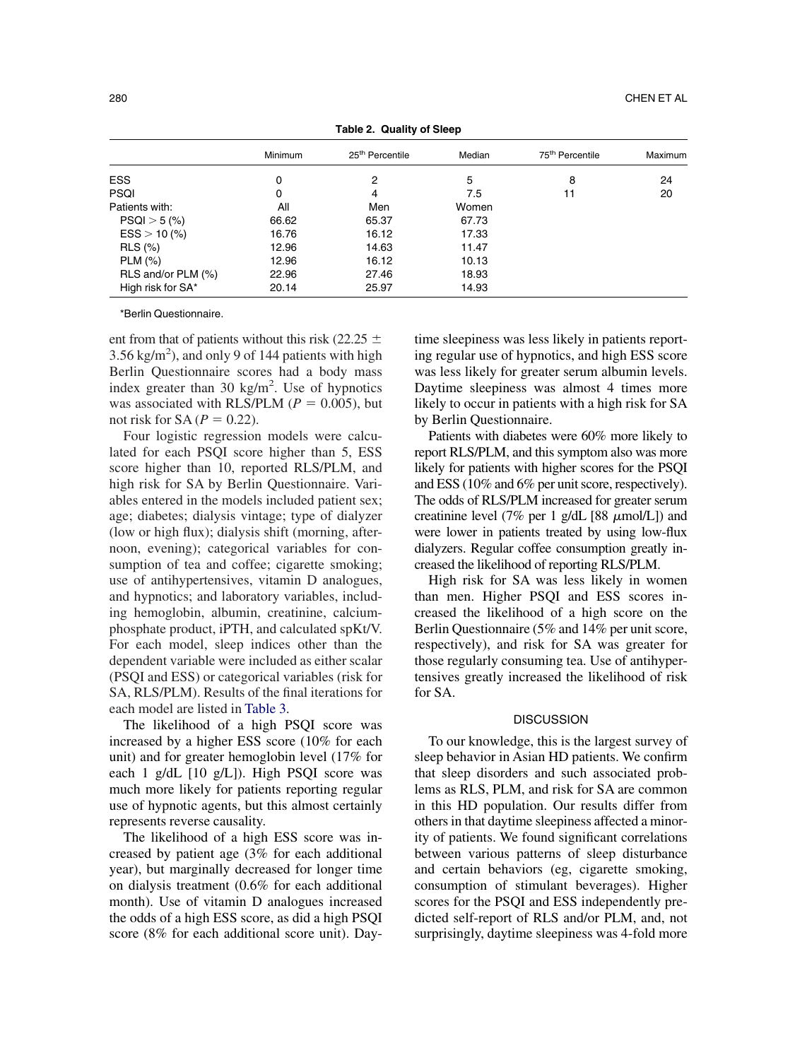<span id="page-3-0"></span>

| rable 2. Wudilly Of Sieep |         |                             |        |                             |         |  |  |
|---------------------------|---------|-----------------------------|--------|-----------------------------|---------|--|--|
|                           | Minimum | 25 <sup>th</sup> Percentile | Median | 75 <sup>th</sup> Percentile | Maximum |  |  |
| <b>ESS</b>                | 0       | 2                           | 5      | 8                           | 24      |  |  |
| <b>PSQI</b>               | 0       | 4                           | 7.5    | 11                          | 20      |  |  |
| Patients with:            | All     | Men                         | Women  |                             |         |  |  |
| $PSQI > 5$ (%)            | 66.62   | 65.37                       | 67.73  |                             |         |  |  |
| $ESS > 10$ (%)            | 16.76   | 16.12                       | 17.33  |                             |         |  |  |
| <b>RLS</b> (%)            | 12.96   | 14.63                       | 11.47  |                             |         |  |  |
| $PLM$ $(\%)$              | 12.96   | 16.12                       | 10.13  |                             |         |  |  |
| RLS and/or PLM (%)        | 22.96   | 27.46                       | 18.93  |                             |         |  |  |
| High risk for SA*         | 20.14   | 25.97                       | 14.93  |                             |         |  |  |
|                           |         |                             |        |                             |         |  |  |

**Table 2. Quality of Sleep**

\*Berlin Questionnaire.

ent from that of patients without this risk (22.25  $\pm$  $3.56$  kg/m<sup>2</sup>), and only 9 of 144 patients with high Berlin Questionnaire scores had a body mass index greater than 30 kg/m<sup>2</sup>. Use of hypnotics was associated with RLS/PLM ( $P = 0.005$ ), but not risk for  $SA(P = 0.22)$ .

Four logistic regression models were calculated for each PSQI score higher than 5, ESS score higher than 10, reported RLS/PLM, and high risk for SA by Berlin Questionnaire. Variables entered in the models included patient sex; age; diabetes; dialysis vintage; type of dialyzer (low or high flux); dialysis shift (morning, afternoon, evening); categorical variables for consumption of tea and coffee; cigarette smoking; use of antihypertensives, vitamin D analogues, and hypnotics; and laboratory variables, including hemoglobin, albumin, creatinine, calciumphosphate product, iPTH, and calculated spKt/V. For each model, sleep indices other than the dependent variable were included as either scalar (PSQI and ESS) or categorical variables (risk for SA, RLS/PLM). Results of the final iterations for each model are listed in [Table 3.](#page-5-0)

The likelihood of a high PSQI score was increased by a higher ESS score (10% for each unit) and for greater hemoglobin level (17% for each 1 g/dL [10 g/L]). High PSQI score was much more likely for patients reporting regular use of hypnotic agents, but this almost certainly represents reverse causality.

The likelihood of a high ESS score was increased by patient age (3% for each additional year), but marginally decreased for longer time on dialysis treatment (0.6% for each additional month). Use of vitamin D analogues increased the odds of a high ESS score, as did a high PSQI score (8% for each additional score unit). Daytime sleepiness was less likely in patients reporting regular use of hypnotics, and high ESS score was less likely for greater serum albumin levels. Daytime sleepiness was almost 4 times more likely to occur in patients with a high risk for SA by Berlin Questionnaire.

Patients with diabetes were 60% more likely to report RLS/PLM, and this symptom also was more likely for patients with higher scores for the PSQI and ESS (10% and 6% per unit score, respectively). The odds of RLS/PLM increased for greater serum creatinine level (7% per 1 g/dL  $[88 \ \mu$ mol/L]) and were lower in patients treated by using low-flux dialyzers. Regular coffee consumption greatly increased the likelihood of reporting RLS/PLM.

High risk for SA was less likely in women than men. Higher PSQI and ESS scores increased the likelihood of a high score on the Berlin Questionnaire (5% and 14% per unit score, respectively), and risk for SA was greater for those regularly consuming tea. Use of antihypertensives greatly increased the likelihood of risk for SA.

## **DISCUSSION**

To our knowledge, this is the largest survey of sleep behavior in Asian HD patients. We confirm that sleep disorders and such associated problems as RLS, PLM, and risk for SA are common in this HD population. Our results differ from others in that daytime sleepiness affected a minority of patients. We found significant correlations between various patterns of sleep disturbance and certain behaviors (eg, cigarette smoking, consumption of stimulant beverages). Higher scores for the PSQI and ESS independently predicted self-report of RLS and/or PLM, and, not surprisingly, daytime sleepiness was 4-fold more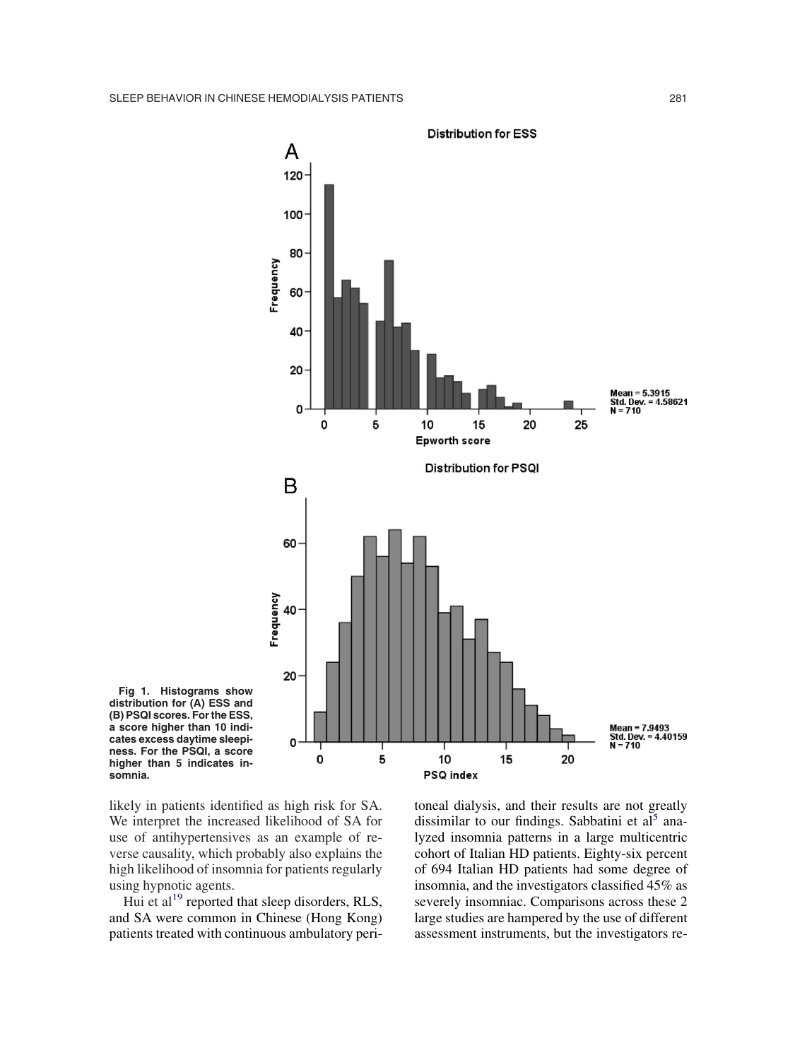<span id="page-4-0"></span>



likely in patients identified as high risk for SA. We interpret the increased likelihood of SA for use of antihypertensives as an example of reverse causality, which probably also explains the high likelihood of insomnia for patients regularly using hypnotic agents.

Hui et al<sup>19</sup> reported that sleep disorders, RLS, and SA were common in Chinese (Hong Kong) patients treated with continuous ambulatory peritoneal dialysis, and their results are not greatly dissimilar to our findings. Sabbatini et  $al<sup>5</sup>$  analyzed insomnia patterns in a large multicentric cohort of Italian HD patients. Eighty-six percent of 694 Italian HD patients had some degree of insomnia, and the investigators classified 45% as severely insomniac. Comparisons across these 2 large studies are hampered by the use of different assessment instruments, but the investigators re-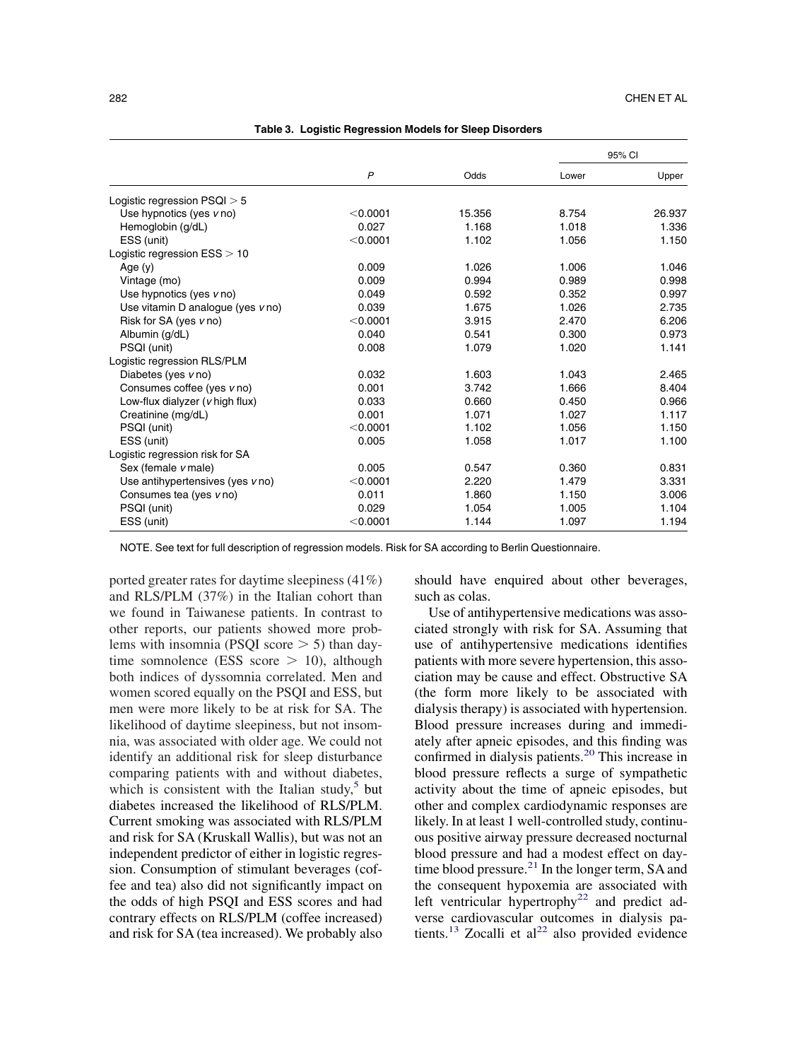<span id="page-5-0"></span>

|                                   | $\overline{P}$ | Odds   | 95% CI |        |
|-----------------------------------|----------------|--------|--------|--------|
|                                   |                |        | Lower  | Upper  |
| Logistic regression $PSQI > 5$    |                |        |        |        |
| Use hypnotics (yes v no)          | < 0.0001       | 15.356 | 8.754  | 26.937 |
| Hemoglobin (g/dL)                 | 0.027          | 1.168  | 1.018  | 1.336  |
| ESS (unit)                        | < 0.0001       | 1.102  | 1.056  | 1.150  |
| Logistic regression $ESS > 10$    |                |        |        |        |
| Age $(y)$                         | 0.009          | 1.026  | 1.006  | 1.046  |
| Vintage (mo)                      | 0.009          | 0.994  | 0.989  | 0.998  |
| Use hypnotics (yes v no)          | 0.049          | 0.592  | 0.352  | 0.997  |
| Use vitamin D analogue (yes v no) | 0.039          | 1.675  | 1.026  | 2.735  |
| Risk for SA (yes v no)            | < 0.0001       | 3.915  | 2.470  | 6.206  |
| Albumin (g/dL)                    | 0.040          | 0.541  | 0.300  | 0.973  |
| PSQI (unit)                       | 0.008          | 1.079  | 1.020  | 1.141  |
| Logistic regression RLS/PLM       |                |        |        |        |
| Diabetes (yes $v$ no)             | 0.032          | 1.603  | 1.043  | 2.465  |
| Consumes coffee (yes v no)        | 0.001          | 3.742  | 1.666  | 8.404  |
| Low-flux dialyzer (v high flux)   | 0.033          | 0.660  | 0.450  | 0.966  |
| Creatinine (mg/dL)                | 0.001          | 1.071  | 1.027  | 1.117  |
| PSQI (unit)                       | < 0.0001       | 1.102  | 1.056  | 1.150  |
| ESS (unit)                        | 0.005          | 1.058  | 1.017  | 1.100  |
| Logistic regression risk for SA   |                |        |        |        |
| Sex (female v male)               | 0.005          | 0.547  | 0.360  | 0.831  |
| Use antihypertensives (yes v no)  | < 0.0001       | 2.220  | 1.479  | 3.331  |
| Consumes tea (yes vno)            | 0.011          | 1.860  | 1.150  | 3.006  |
| PSQI (unit)                       | 0.029          | 1.054  | 1.005  | 1.104  |
| ESS (unit)                        | $<$ 0.0001     | 1.144  | 1.097  | 1.194  |

NOTE. See text for full description of regression models. Risk for SA according to Berlin Questionnaire.

ported greater rates for daytime sleepiness (41%) and RLS/PLM (37%) in the Italian cohort than we found in Taiwanese patients. In contrast to other reports, our patients showed more problems with insomnia (PSQI score  $>$  5) than daytime somnolence (ESS score  $> 10$ ), although both indices of dyssomnia correlated. Men and women scored equally on the PSQI and ESS, but men were more likely to be at risk for SA. The likelihood of daytime sleepiness, but not insomnia, was associated with older age. We could not identify an additional risk for sleep disturbance comparing patients with and without diabetes, which is consistent with the Italian study, $5$  but diabetes increased the likelihood of RLS/PLM. Current smoking was associated with RLS/PLM and risk for SA (Kruskall Wallis), but was not an independent predictor of either in logistic regression. Consumption of stimulant beverages (coffee and tea) also did not significantly impact on the odds of high PSQI and ESS scores and had contrary effects on RLS/PLM (coffee increased) and risk for SA (tea increased). We probably also

should have enquired about other beverages, such as colas.

Use of antihypertensive medications was associated strongly with risk for SA. Assuming that use of antihypertensive medications identifies patients with more severe hypertension, this association may be cause and effect. Obstructive SA (the form more likely to be associated with dialysis therapy) is associated with hypertension. Blood pressure increases during and immediately after apneic episodes, and this finding was confirmed in dialysis patients.<sup>20</sup> This increase in blood pressure reflects a surge of sympathetic activity about the time of apneic episodes, but other and complex cardiodynamic responses are likely. In at least 1 well-controlled study, continuous positive airway pressure decreased nocturnal blood pressure and had a modest effect on daytime blood pressure.<sup>21</sup> In the longer term, SA and the consequent hypoxemia are associated with left ventricular hypertrophy<sup>22</sup> and predict adverse cardiovascular outcomes in dialysis patients.<sup>13</sup> Zocalli et al<sup>22</sup> also provided evidence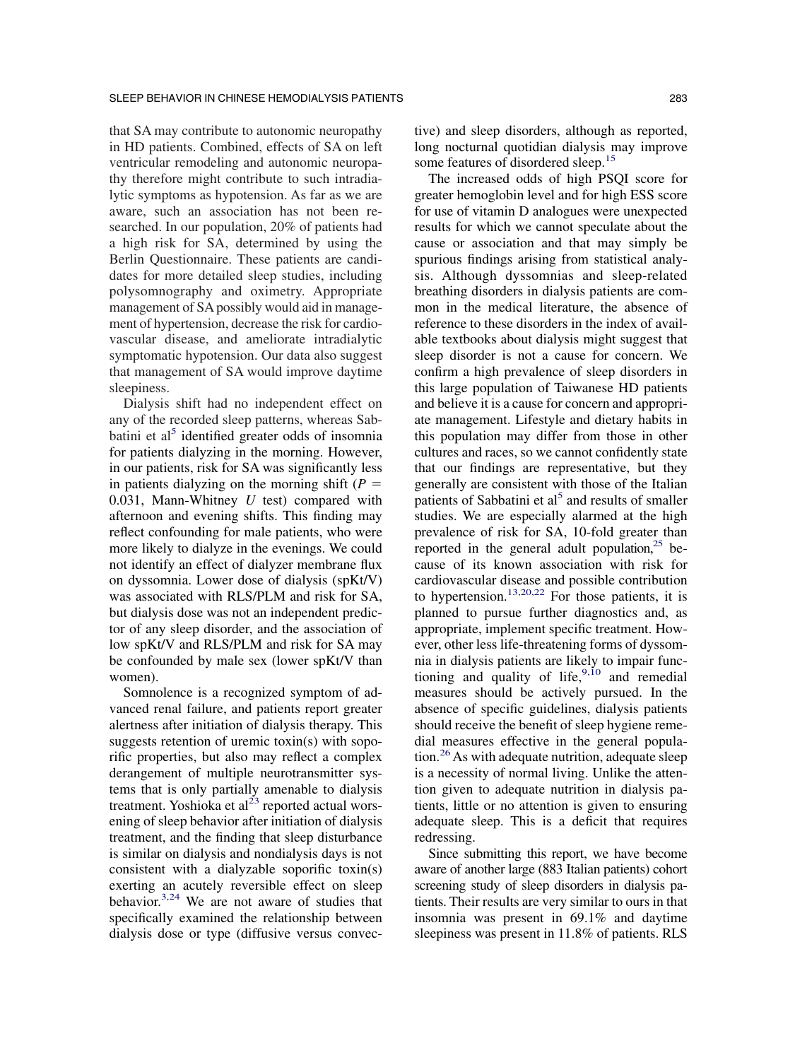that SA may contribute to autonomic neuropathy in HD patients. Combined, effects of SA on left ventricular remodeling and autonomic neuropathy therefore might contribute to such intradialytic symptoms as hypotension. As far as we are aware, such an association has not been researched. In our population, 20% of patients had a high risk for SA, determined by using the Berlin Questionnaire. These patients are candidates for more detailed sleep studies, including polysomnography and oximetry. Appropriate management of SA possibly would aid in management of hypertension, decrease the risk for cardiovascular disease, and ameliorate intradialytic symptomatic hypotension. Our data also suggest that management of SA would improve daytime sleepiness.

Dialysis shift had no independent effect on any of the recorded sleep patterns, whereas Sabbatini et al<sup>5</sup> identified greater odds of insomnia for patients dialyzing in the morning. However, in our patients, risk for SA was significantly less in patients dialyzing on the morning shift  $(P =$ 0.031, Mann-Whitney *U* test) compared with afternoon and evening shifts. This finding may reflect confounding for male patients, who were more likely to dialyze in the evenings. We could not identify an effect of dialyzer membrane flux on dyssomnia. Lower dose of dialysis (spKt/V) was associated with RLS/PLM and risk for SA, but dialysis dose was not an independent predictor of any sleep disorder, and the association of low spKt/V and RLS/PLM and risk for SA may be confounded by male sex (lower spKt/V than women).

Somnolence is a recognized symptom of advanced renal failure, and patients report greater alertness after initiation of dialysis therapy. This suggests retention of uremic toxin(s) with soporific properties, but also may reflect a complex derangement of multiple neurotransmitter systems that is only partially amenable to dialysis treatment. Yoshioka et al $^{23}$  reported actual worsening of sleep behavior after initiation of dialysis treatment, and the finding that sleep disturbance is similar on dialysis and nondialysis days is not consistent with a dialyzable soporific toxin(s) exerting an acutely reversible effect on sleep behavior[.3,24](#page-7-0) We are not aware of studies that specifically examined the relationship between dialysis dose or type (diffusive versus convective) and sleep disorders, although as reported, long nocturnal quotidian dialysis may improve some features of disordered sleep.<sup>15</sup>

The increased odds of high PSQI score for greater hemoglobin level and for high ESS score for use of vitamin D analogues were unexpected results for which we cannot speculate about the cause or association and that may simply be spurious findings arising from statistical analysis. Although dyssomnias and sleep-related breathing disorders in dialysis patients are common in the medical literature, the absence of reference to these disorders in the index of available textbooks about dialysis might suggest that sleep disorder is not a cause for concern. We confirm a high prevalence of sleep disorders in this large population of Taiwanese HD patients and believe it is a cause for concern and appropriate management. Lifestyle and dietary habits in this population may differ from those in other cultures and races, so we cannot confidently state that our findings are representative, but they generally are consistent with those of the Italian patients of Sabbatini et  $a<sup>5</sup>$  and results of smaller studies. We are especially alarmed at the high prevalence of risk for SA, 10-fold greater than reported in the general adult population, $25$  because of its known association with risk for cardiovascular disease and possible contribution to hypertension.<sup>13,20,22</sup> For those patients, it is planned to pursue further diagnostics and, as appropriate, implement specific treatment. However, other less life-threatening forms of dyssomnia in dialysis patients are likely to impair functioning and quality of life,  $9,10$  and remedial measures should be actively pursued. In the absence of specific guidelines, dialysis patients should receive the benefit of sleep hygiene remedial measures effective in the general popula- $\frac{1}{26}$ As with adequate nutrition, adequate sleep is a necessity of normal living. Unlike the attention given to adequate nutrition in dialysis patients, little or no attention is given to ensuring adequate sleep. This is a deficit that requires redressing.

Since submitting this report, we have become aware of another large (883 Italian patients) cohort screening study of sleep disorders in dialysis patients. Their results are very similar to ours in that insomnia was present in 69.1% and daytime sleepiness was present in 11.8% of patients. RLS